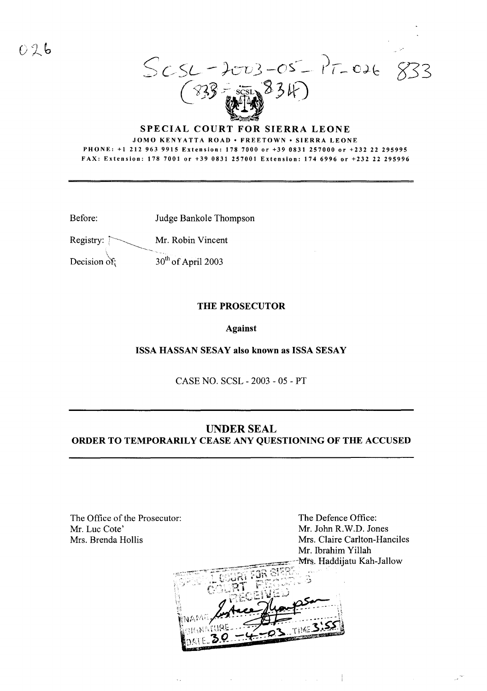S*C/SL -kv3* .\_()S'--\_  $(933 - \frac{1}{2411})$   $(334)$ 

## SPECIAL COURT FOR SIERRA LEONE JOMO KENYATTA ROAD • FREETOWN • SIERRA LEONE

PHONE: +1212 963 9915 Extension: 1787000 or +39 0831257000 or +232 22 295995 FAX: Extension: 178 7001 or +39 0831257001 Extension: 1746996 or +23222 295996

Before: Judge Bankole Thompson

Registry: Mr. Robin Vincent

Decision of:  $30<sup>th</sup>$  of April 2003

## THE PROSECUTOR

Against

ISSA HASSAN SESAY also known as ISSA SESAY

CASE NO. SCSL - 2003 - 05 - PT

## UNDER SEAL ORDER TO TEMPORARILY CEASE ANY QUESTIONING OF THE ACCUSED

The Office of the Prosecutor: Mr. Luc Cote' Mrs. Brenda Hollis

The Defence Office: Mr. John R.W.D. Jones Mrs. Claire Carlton-Hanciles Mr. Ibrahim Yillah Mrs. Haddijatu Kah-Jallow